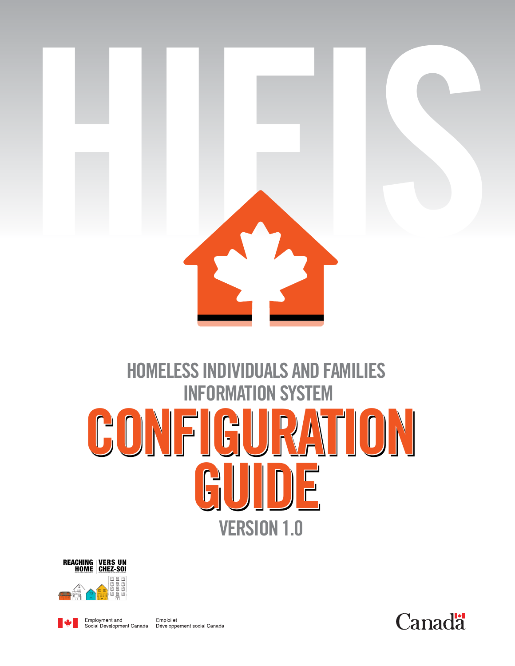

## **HOMELESS INDIVIDUALS AND FAMILIES INFORMATION SYSTEM CONFIGURATION CONFIGURATION CONFIGURATION GUIDE GUIDE GUIDE VERSION 1.0**





Emploi et Employment and Social Development Canada Développement social Canada

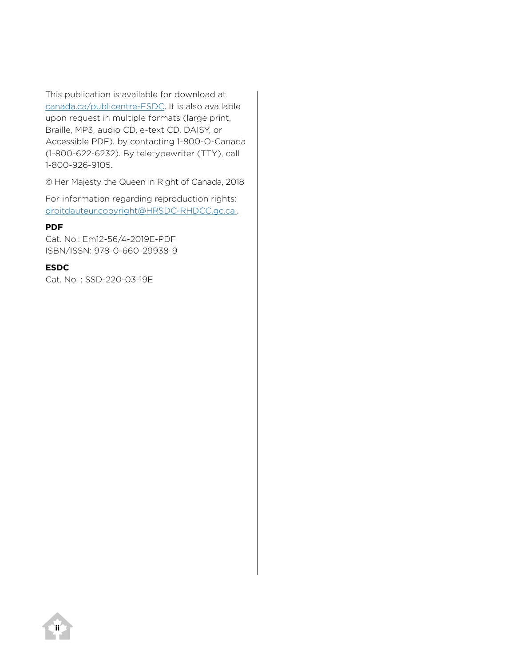This publication is available for download at [canada.ca/publicentre-ESDC.](http://www12.esdc.gc.ca/sgpe-pmps/h.4m.2@-eng.jsp?utm_campaign=not-applicable&utm_medium=vanity-url&utm_source=canada-ca_publicentre-esdc) It is also available upon request in multiple formats (large print, Braille, MP3, audio CD, e-text CD, DAISY, or Accessible PDF), by contacting 1-800-O-Canada (1-800-622-6232). By teletypewriter (TTY), call 1-800-926-9105.

© Her Majesty the Queen in Right of Canada, 2018

For information regarding reproduction rights: [droitdauteur.copyright@HRSDC-RHDCC.gc.ca..](mailto: droitdauteur.copyright@HRSDC-RHDCC.gc.ca)

#### **PDF**

Cat. No.: Em12-56/4-2019E-PDF ISBN/ISSN: 978-0-660-29938-9

#### **ESDC**

Cat. No. : SSD-220-03-19E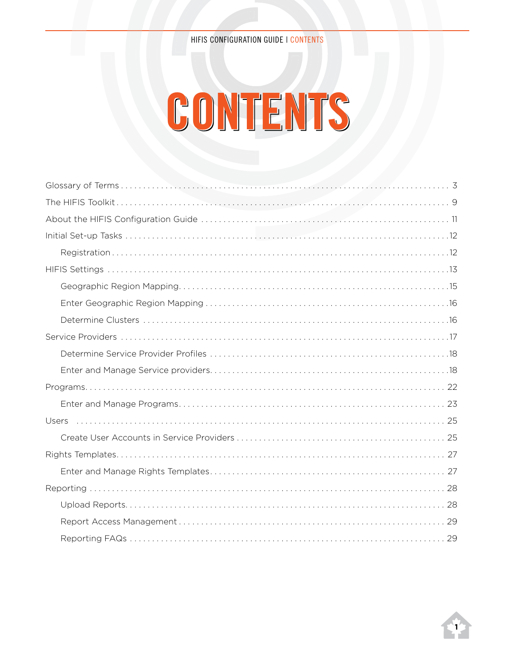# **Contents**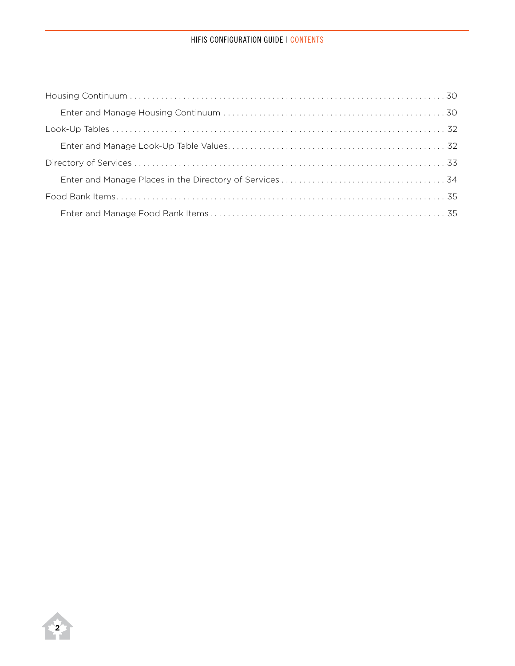#### HIFIS CONFIGURATION GUIDE | CONTENTS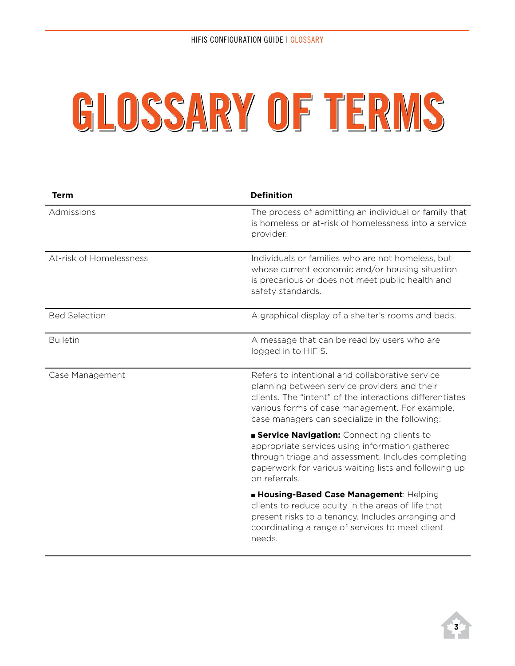# **Glossary of terms**

| <b>Term</b>             | <b>Definition</b>                                                                                                                                                                                                                                               |
|-------------------------|-----------------------------------------------------------------------------------------------------------------------------------------------------------------------------------------------------------------------------------------------------------------|
| Admissions              | The process of admitting an individual or family that<br>is homeless or at-risk of homelessness into a service<br>provider.                                                                                                                                     |
| At-risk of Homelessness | Individuals or families who are not homeless, but<br>whose current economic and/or housing situation<br>is precarious or does not meet public health and<br>safety standards.                                                                                   |
| <b>Bed Selection</b>    | A graphical display of a shelter's rooms and beds.                                                                                                                                                                                                              |
| <b>Bulletin</b>         | A message that can be read by users who are<br>logged in to HIFIS.                                                                                                                                                                                              |
| Case Management         | Refers to intentional and collaborative service<br>planning between service providers and their<br>clients. The "intent" of the interactions differentiates<br>various forms of case management. For example,<br>case managers can specialize in the following: |
|                         | <b>Service Navigation:</b> Connecting clients to<br>appropriate services using information gathered<br>through triage and assessment. Includes completing<br>paperwork for various waiting lists and following up<br>on referrals.                              |
|                         | <b>E Housing-Based Case Management: Helping</b><br>clients to reduce acuity in the areas of life that<br>present risks to a tenancy. Includes arranging and<br>coordinating a range of services to meet client<br>needs.                                        |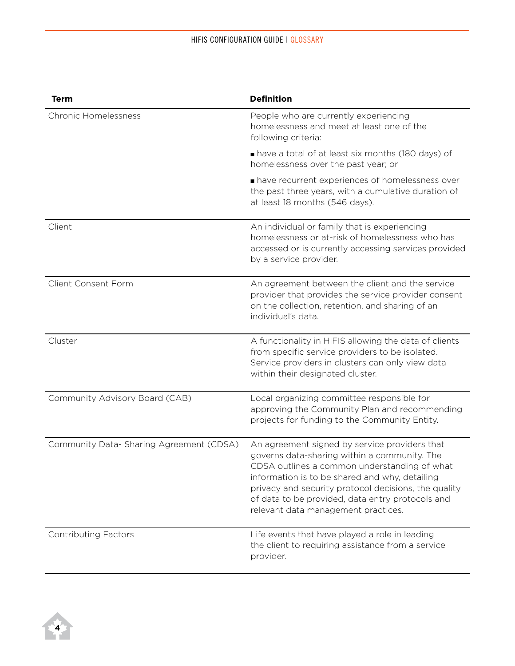| <b>Term</b>                              | <b>Definition</b>                                                                                                                                                                                                                                                                                                                                  |
|------------------------------------------|----------------------------------------------------------------------------------------------------------------------------------------------------------------------------------------------------------------------------------------------------------------------------------------------------------------------------------------------------|
| <b>Chronic Homelessness</b>              | People who are currently experiencing<br>homelessness and meet at least one of the<br>following criteria:                                                                                                                                                                                                                                          |
|                                          | have a total of at least six months (180 days) of<br>homelessness over the past year; or                                                                                                                                                                                                                                                           |
|                                          | have recurrent experiences of homelessness over<br>the past three years, with a cumulative duration of<br>at least 18 months (546 days).                                                                                                                                                                                                           |
| Client                                   | An individual or family that is experiencing<br>homelessness or at-risk of homelessness who has<br>accessed or is currently accessing services provided<br>by a service provider.                                                                                                                                                                  |
| Client Consent Form                      | An agreement between the client and the service<br>provider that provides the service provider consent<br>on the collection, retention, and sharing of an<br>individual's data.                                                                                                                                                                    |
| Cluster                                  | A functionality in HIFIS allowing the data of clients<br>from specific service providers to be isolated.<br>Service providers in clusters can only view data<br>within their designated cluster.                                                                                                                                                   |
| Community Advisory Board (CAB)           | Local organizing committee responsible for<br>approving the Community Plan and recommending<br>projects for funding to the Community Entity.                                                                                                                                                                                                       |
| Community Data- Sharing Agreement (CDSA) | An agreement signed by service providers that<br>governs data-sharing within a community. The<br>CDSA outlines a common understanding of what<br>information is to be shared and why, detailing<br>privacy and security protocol decisions, the quality<br>of data to be provided, data entry protocols and<br>relevant data management practices. |
| <b>Contributing Factors</b>              | Life events that have played a role in leading<br>the client to requiring assistance from a service<br>provider.                                                                                                                                                                                                                                   |

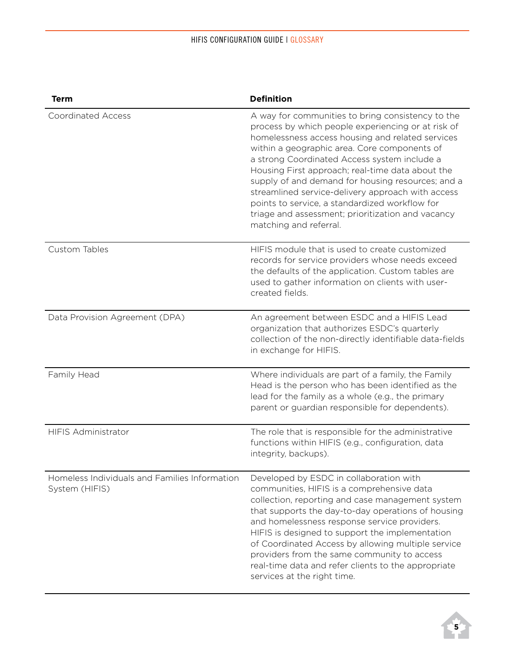| <b>Term</b>                                                     | <b>Definition</b>                                                                                                                                                                                                                                                                                                                                                                                                                                                                                                                                          |
|-----------------------------------------------------------------|------------------------------------------------------------------------------------------------------------------------------------------------------------------------------------------------------------------------------------------------------------------------------------------------------------------------------------------------------------------------------------------------------------------------------------------------------------------------------------------------------------------------------------------------------------|
| <b>Coordinated Access</b>                                       | A way for communities to bring consistency to the<br>process by which people experiencing or at risk of<br>homelessness access housing and related services<br>within a geographic area. Core components of<br>a strong Coordinated Access system include a<br>Housing First approach; real-time data about the<br>supply of and demand for housing resources; and a<br>streamlined service-delivery approach with access<br>points to service, a standardized workflow for<br>triage and assessment; prioritization and vacancy<br>matching and referral. |
| Custom Tables                                                   | HIFIS module that is used to create customized<br>records for service providers whose needs exceed<br>the defaults of the application. Custom tables are<br>used to gather information on clients with user-<br>created fields.                                                                                                                                                                                                                                                                                                                            |
| Data Provision Agreement (DPA)                                  | An agreement between ESDC and a HIFIS Lead<br>organization that authorizes ESDC's quarterly<br>collection of the non-directly identifiable data-fields<br>in exchange for HIFIS.                                                                                                                                                                                                                                                                                                                                                                           |
| Family Head                                                     | Where individuals are part of a family, the Family<br>Head is the person who has been identified as the<br>lead for the family as a whole (e.g., the primary<br>parent or guardian responsible for dependents).                                                                                                                                                                                                                                                                                                                                            |
| <b>HIFIS Administrator</b>                                      | The role that is responsible for the administrative<br>functions within HIFIS (e.g., configuration, data<br>integrity, backups).                                                                                                                                                                                                                                                                                                                                                                                                                           |
| Homeless Individuals and Families Information<br>System (HIFIS) | Developed by ESDC in collaboration with<br>communities, HIFIS is a comprehensive data<br>collection, reporting and case management system<br>that supports the day-to-day operations of housing<br>and homelessness response service providers.<br>HIFIS is designed to support the implementation<br>of Coordinated Access by allowing multiple service<br>providers from the same community to access<br>real-time data and refer clients to the appropriate<br>services at the right time.                                                              |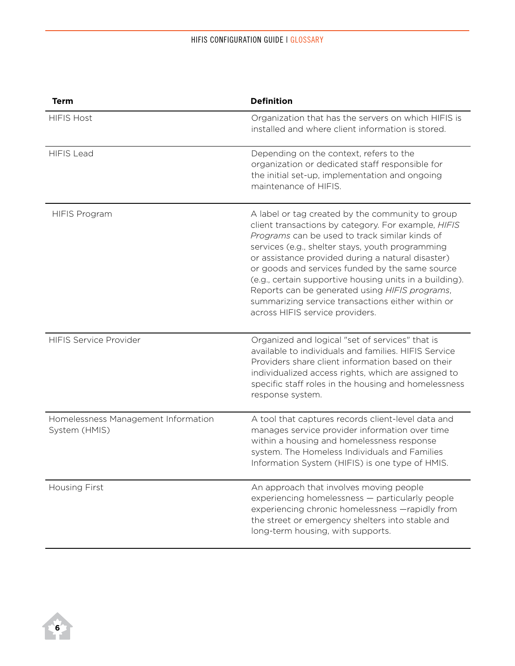| <b>Term</b>                                          | <b>Definition</b>                                                                                                                                                                                                                                                                                                                                                                                                                                                                                                          |
|------------------------------------------------------|----------------------------------------------------------------------------------------------------------------------------------------------------------------------------------------------------------------------------------------------------------------------------------------------------------------------------------------------------------------------------------------------------------------------------------------------------------------------------------------------------------------------------|
| <b>HIFIS Host</b>                                    | Organization that has the servers on which HIFIS is<br>installed and where client information is stored.                                                                                                                                                                                                                                                                                                                                                                                                                   |
| <b>HIFIS Lead</b>                                    | Depending on the context, refers to the<br>organization or dedicated staff responsible for<br>the initial set-up, implementation and ongoing<br>maintenance of HIFIS.                                                                                                                                                                                                                                                                                                                                                      |
| <b>HIFIS Program</b>                                 | A label or tag created by the community to group<br>client transactions by category. For example, HIFIS<br>Programs can be used to track similar kinds of<br>services (e.g., shelter stays, youth programming<br>or assistance provided during a natural disaster)<br>or goods and services funded by the same source<br>(e.g., certain supportive housing units in a building).<br>Reports can be generated using HIFIS programs,<br>summarizing service transactions either within or<br>across HIFIS service providers. |
| <b>HIFIS Service Provider</b>                        | Organized and logical "set of services" that is<br>available to individuals and families. HIFIS Service<br>Providers share client information based on their<br>individualized access rights, which are assigned to<br>specific staff roles in the housing and homelessness<br>response system.                                                                                                                                                                                                                            |
| Homelessness Management Information<br>System (HMIS) | A tool that captures records client-level data and<br>manages service provider information over time<br>within a housing and homelessness response<br>system. The Homeless Individuals and Families<br>Information System (HIFIS) is one type of HMIS.                                                                                                                                                                                                                                                                     |
| <b>Housing First</b>                                 | An approach that involves moving people<br>experiencing homelessness - particularly people<br>experiencing chronic homelessness -rapidly from<br>the street or emergency shelters into stable and<br>long-term housing, with supports.                                                                                                                                                                                                                                                                                     |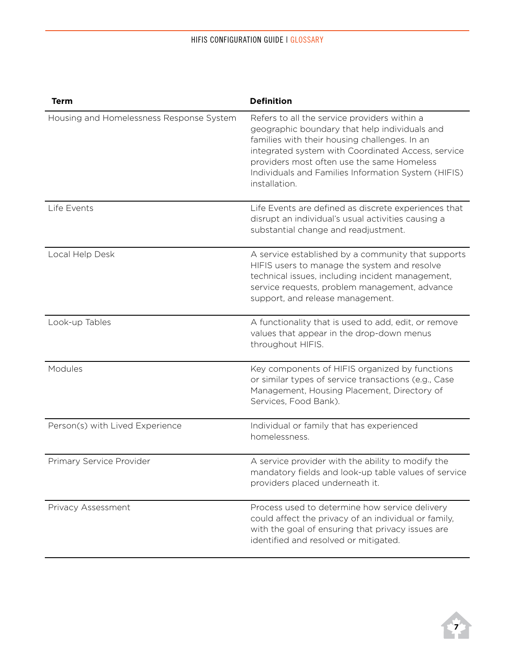| <b>Term</b>                              | <b>Definition</b>                                                                                                                                                                                                                                                                                                          |
|------------------------------------------|----------------------------------------------------------------------------------------------------------------------------------------------------------------------------------------------------------------------------------------------------------------------------------------------------------------------------|
| Housing and Homelessness Response System | Refers to all the service providers within a<br>geographic boundary that help individuals and<br>families with their housing challenges. In an<br>integrated system with Coordinated Access, service<br>providers most often use the same Homeless<br>Individuals and Families Information System (HIFIS)<br>installation. |
| Life Events                              | Life Events are defined as discrete experiences that<br>disrupt an individual's usual activities causing a<br>substantial change and readjustment.                                                                                                                                                                         |
| Local Help Desk                          | A service established by a community that supports<br>HIFIS users to manage the system and resolve<br>technical issues, including incident management,<br>service requests, problem management, advance<br>support, and release management.                                                                                |
| Look-up Tables                           | A functionality that is used to add, edit, or remove<br>values that appear in the drop-down menus<br>throughout HIFIS.                                                                                                                                                                                                     |
| Modules                                  | Key components of HIFIS organized by functions<br>or similar types of service transactions (e.g., Case<br>Management, Housing Placement, Directory of<br>Services, Food Bank).                                                                                                                                             |
| Person(s) with Lived Experience          | Individual or family that has experienced<br>homelessness.                                                                                                                                                                                                                                                                 |
| Primary Service Provider                 | A service provider with the ability to modify the<br>mandatory fields and look-up table values of service<br>providers placed underneath it.                                                                                                                                                                               |
| Privacy Assessment                       | Process used to determine how service delivery<br>could affect the privacy of an individual or family,<br>with the goal of ensuring that privacy issues are<br>identified and resolved or mitigated.                                                                                                                       |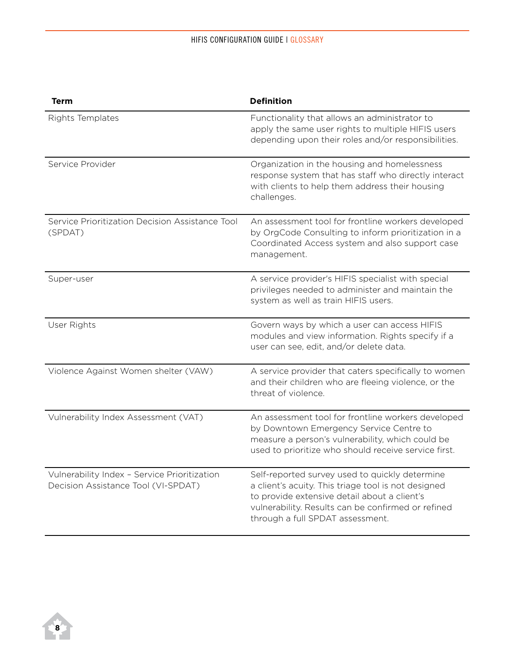| <b>Term</b>                                                                         | <b>Definition</b>                                                                                                                                                                                                                               |
|-------------------------------------------------------------------------------------|-------------------------------------------------------------------------------------------------------------------------------------------------------------------------------------------------------------------------------------------------|
| Rights Templates                                                                    | Functionality that allows an administrator to<br>apply the same user rights to multiple HIFIS users<br>depending upon their roles and/or responsibilities.                                                                                      |
| Service Provider                                                                    | Organization in the housing and homelessness<br>response system that has staff who directly interact<br>with clients to help them address their housing<br>challenges.                                                                          |
| Service Prioritization Decision Assistance Tool<br>(SPDAT)                          | An assessment tool for frontline workers developed<br>by OrgCode Consulting to inform prioritization in a<br>Coordinated Access system and also support case<br>management.                                                                     |
| Super-user                                                                          | A service provider's HIFIS specialist with special<br>privileges needed to administer and maintain the<br>system as well as train HIFIS users.                                                                                                  |
| User Rights                                                                         | Govern ways by which a user can access HIFIS<br>modules and view information. Rights specify if a<br>user can see, edit, and/or delete data.                                                                                                    |
| Violence Against Women shelter (VAW)                                                | A service provider that caters specifically to women<br>and their children who are fleeing violence, or the<br>threat of violence.                                                                                                              |
| Vulnerability Index Assessment (VAT)                                                | An assessment tool for frontline workers developed<br>by Downtown Emergency Service Centre to<br>measure a person's vulnerability, which could be<br>used to prioritize who should receive service first.                                       |
| Vulnerability Index - Service Prioritization<br>Decision Assistance Tool (VI-SPDAT) | Self-reported survey used to quickly determine<br>a client's acuity. This triage tool is not designed<br>to provide extensive detail about a client's<br>vulnerability. Results can be confirmed or refined<br>through a full SPDAT assessment. |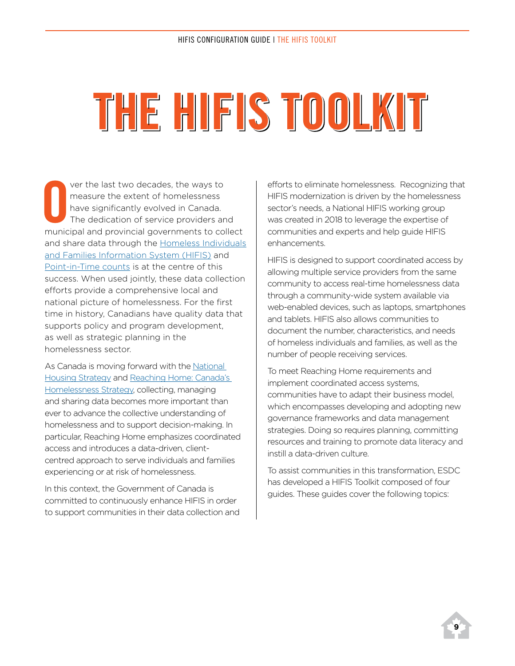# **The HIFIS Toolkit**

Ver the last two decades, the ways to<br>
measure the extent of homelessness<br>
have significantly evolved in Canada.<br>
The dedication of service providers and<br>
municipal and provincial governments to collect ver the last two decades, the ways to measure the extent of homelessness have significantly evolved in Canada. The dedication of service providers and and share data through the Homeless Individuals [and Families Information System \(HIFIS\)](https://www.canada.ca/en/employment-social-development/programs/homelessness/hifis.html) and [Point-in-Time counts](https://www.canada.ca/en/employment-social-development/programs/homelessness/resources/point-in-time.html) is at the centre of this success. When used jointly, these data collection efforts provide a comprehensive local and national picture of homelessness. For the first time in history, Canadians have quality data that supports policy and program development, as well as strategic planning in the homelessness sector.

As Canada is moving forward with the [National](https://www.placetocallhome.ca/)  [Housing Strategy](https://www.placetocallhome.ca/) and Reaching Home: Canada's [Homelessness Strategy](https://www.canada.ca/en/employment-social-development/programs/homelessness.html), collecting, managing and sharing data becomes more important than ever to advance the collective understanding of homelessness and to support decision-making. In particular, Reaching Home emphasizes coordinated access and introduces a data-driven, clientcentred approach to serve individuals and families experiencing or at risk of homelessness.

In this context, the Government of Canada is committed to continuously enhance HIFIS in order to support communities in their data collection and efforts to eliminate homelessness. Recognizing that HIFIS modernization is driven by the homelessness sector's needs, a National HIFIS working group was created in 2018 to leverage the expertise of communities and experts and help guide HIFIS enhancements.

HIFIS is designed to support coordinated access by allowing multiple service providers from the same community to access real-time homelessness data through a community-wide system available via web-enabled devices, such as laptops, smartphones and tablets. HIFIS also allows communities to document the number, characteristics, and needs of homeless individuals and families, as well as the number of people receiving services.

To meet Reaching Home requirements and implement coordinated access systems, communities have to adapt their business model, which encompasses developing and adopting new governance frameworks and data management strategies. Doing so requires planning, committing resources and training to promote data literacy and instill a data-driven culture.

To assist communities in this transformation, ESDC has developed a HIFIS Toolkit composed of four guides. These guides cover the following topics: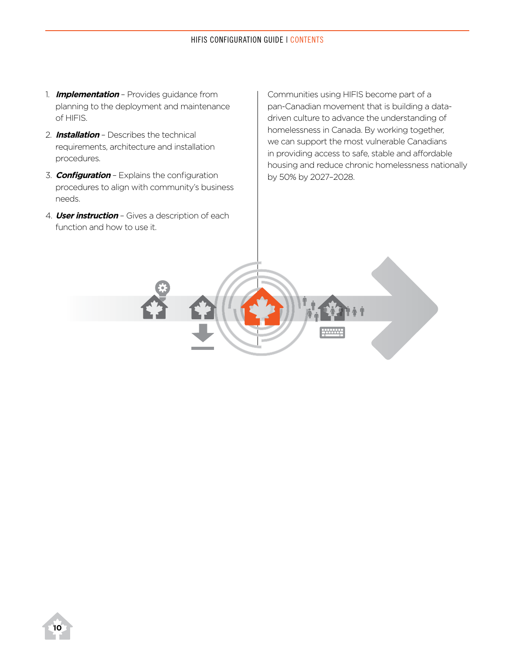- 1. **Implementation** Provides guidance from planning to the deployment and maintenance of HIFIS.
- 2. **Installation** Describes the technical requirements, architecture and installation procedures.
- 3. **Configuration** Explains the configuration procedures to align with community's business needs.
- 4. **User instruction** Gives a description of each function and how to use it.

Communities using HIFIS become part of a pan-Canadian movement that is building a datadriven culture to advance the understanding of homelessness in Canada. By working together, we can support the most vulnerable Canadians in providing access to safe, stable and affordable housing and reduce chronic homelessness nationally by 50% by 2027–2028.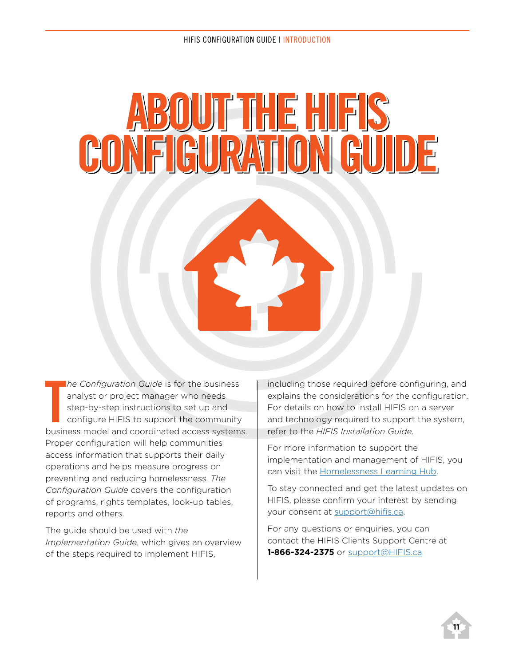# **ABOUTTHEHIFIS CONFIGURATION GUIDE**

The Configuration Guide is for the business<br>
analyst or project manager who needs<br>
step-by-step instructions to set up and<br>
configure HIFIS to support the community<br>
business model and coordinated access systems. *he Configuration Guide* is for the business analyst or project manager who needs step-by-step instructions to set up and configure HIFIS to support the community Proper configuration will help communities access information that supports their daily operations and helps measure progress on preventing and reducing homelessness. *The Configuration Guide* covers the configuration of programs, rights templates, look-up tables, reports and others.

The guide should be used with *the Implementation Guide*, which gives an overview of the steps required to implement HIFIS,

including those required before configuring, and explains the considerations for the configuration. For details on how to install HIFIS on a server and technology required to support the system, refer to the *HIFIS Installation Guide*.

For more information to support the implementation and management of HIFIS, you can visit the [Homelessness Learning Hub.](https://www.homelessnesslearninghub.ca/)

To stay connected and get the latest updates on HIFIS, please confirm your interest by sending your consent at [support@hifis.ca.](mailto: support@hifis.ca.)

For any questions or enquiries, you can contact the HIFIS Clients Support Centre at **1-866-324-2375** or [support@HIFIS.ca](mailto: support@hifis.ca.)

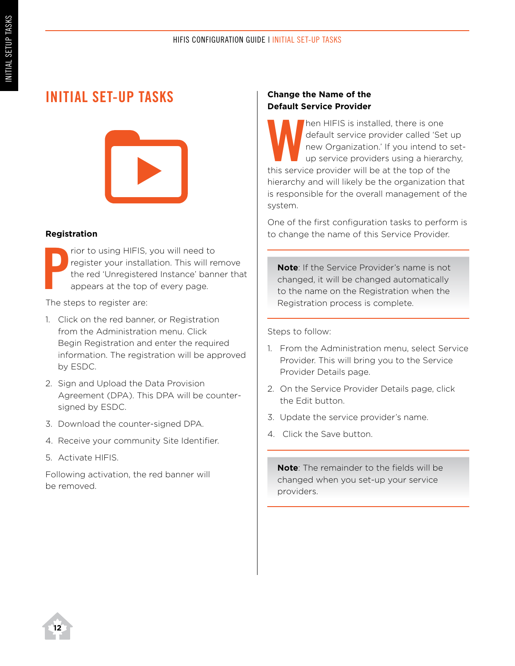## **Initial Set-up Tasks**



#### **Registration**

**P** rior to using HIFIS, you will need to register your installation. This will remove the red 'Unregistered Instance' banner that appears at the top of every page.

The steps to register are:

- 1. Click on the red banner, or Registration from the Administration menu. Click Begin Registration and enter the required information. The registration will be approved by ESDC.
- 2. Sign and Upload the Data Provision Agreement (DPA). This DPA will be countersigned by ESDC.
- 3. Download the counter-signed DPA.
- 4. Receive your community Site Identifier.
- 5. Activate HIFIS.

Following activation, the red banner will be removed.

#### **Change the Name of the Default Service Provider**

Nen HIFIS is installed, there is one<br>default service provider called 'Set<br>new Organization.' If you intend to<br>up service providers using a hierar<br>this service provider will be at the top of the default service provider called 'Set up new Organization.' If you intend to setup service providers using a hierarchy, this service provider will be at the top of the hierarchy and will likely be the organization that is responsible for the overall management of the system.

One of the first configuration tasks to perform is to change the name of this Service Provider.

**Note**: If the Service Provider's name is not changed, it will be changed automatically to the name on the Registration when the Registration process is complete.

Steps to follow:

- 1. From the Administration menu, select Service Provider. This will bring you to the Service Provider Details page.
- 2. On the Service Provider Details page, click the Edit button.
- 3. Update the service provider's name.
- 4. Click the Save button.

**Note**: The remainder to the fields will be changed when you set-up your service providers.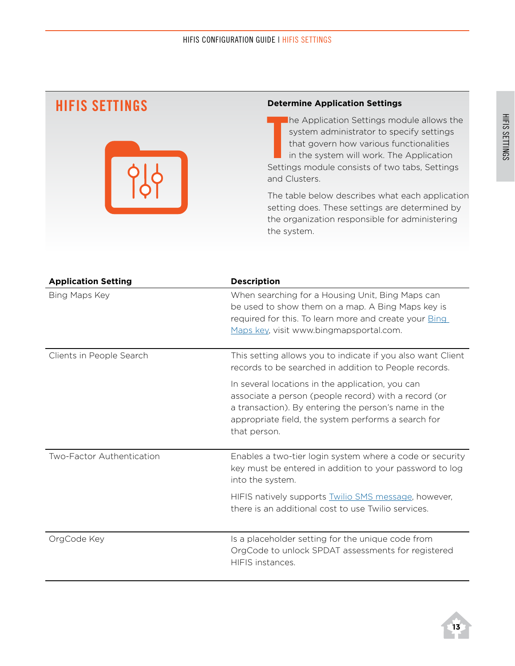## **HIFIS Settings**



#### **Determine Application Settings**

The Application Settings module allows the<br>
system administrator to specify settings<br>
that govern how various functionalities<br>
in the system will work. The Application<br>
Settings module consists of two tabs, Settings he Application Settings module allows the system administrator to specify settings that govern how various functionalities in the system will work. The Application and Clusters.

The table below describes what each application setting does. These settings are determined by the organization responsible for administering the system.

| <b>Application Setting</b> | <b>Description</b>                                                                                                                                                                                                                      |
|----------------------------|-----------------------------------------------------------------------------------------------------------------------------------------------------------------------------------------------------------------------------------------|
| Bing Maps Key              | When searching for a Housing Unit, Bing Maps can<br>be used to show them on a map. A Bing Maps key is<br>required for this. To learn more and create your <b>Bing</b><br>Maps key, visit www.bingmapsportal.com.                        |
| Clients in People Search   | This setting allows you to indicate if you also want Client<br>records to be searched in addition to People records.                                                                                                                    |
|                            | In several locations in the application, you can<br>associate a person (people record) with a record (or<br>a transaction). By entering the person's name in the<br>appropriate field, the system performs a search for<br>that person. |
| Two-Factor Authentication  | Enables a two-tier login system where a code or security<br>key must be entered in addition to your password to log<br>into the system.                                                                                                 |
|                            | HIFIS natively supports <b>Twilio SMS</b> message, however,<br>there is an additional cost to use Twilio services.                                                                                                                      |
| OrgCode Key                | Is a placeholder setting for the unique code from<br>OrgCode to unlock SPDAT assessments for registered<br>HIFIS instances.                                                                                                             |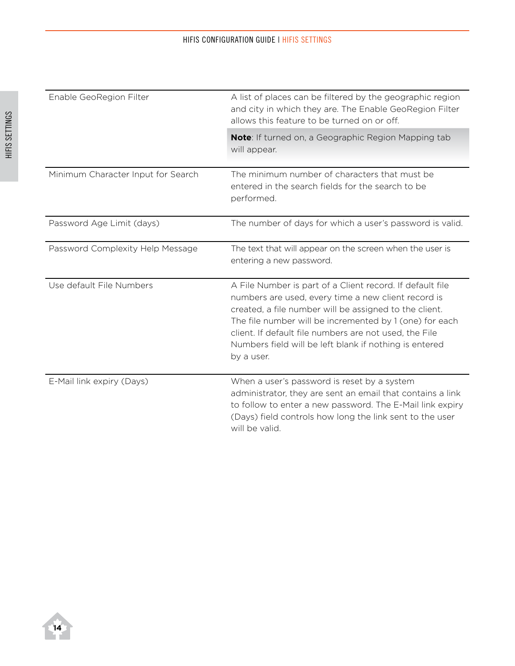| Enable GeoRegion Filter            | A list of places can be filtered by the geographic region<br>and city in which they are. The Enable GeoRegion Filter<br>allows this feature to be turned on or off.                                                                                                                                                                                                     |
|------------------------------------|-------------------------------------------------------------------------------------------------------------------------------------------------------------------------------------------------------------------------------------------------------------------------------------------------------------------------------------------------------------------------|
|                                    | Note: If turned on, a Geographic Region Mapping tab<br>will appear.                                                                                                                                                                                                                                                                                                     |
| Minimum Character Input for Search | The minimum number of characters that must be<br>entered in the search fields for the search to be<br>performed.                                                                                                                                                                                                                                                        |
| Password Age Limit (days)          | The number of days for which a user's password is valid.                                                                                                                                                                                                                                                                                                                |
| Password Complexity Help Message   | The text that will appear on the screen when the user is<br>entering a new password.                                                                                                                                                                                                                                                                                    |
| Use default File Numbers           | A File Number is part of a Client record. If default file<br>numbers are used, every time a new client record is<br>created, a file number will be assigned to the client.<br>The file number will be incremented by 1 (one) for each<br>client. If default file numbers are not used, the File<br>Numbers field will be left blank if nothing is entered<br>by a user. |
| E-Mail link expiry (Days)          | When a user's password is reset by a system<br>administrator, they are sent an email that contains a link<br>to follow to enter a new password. The E-Mail link expiry<br>(Days) field controls how long the link sent to the user<br>will be valid.                                                                                                                    |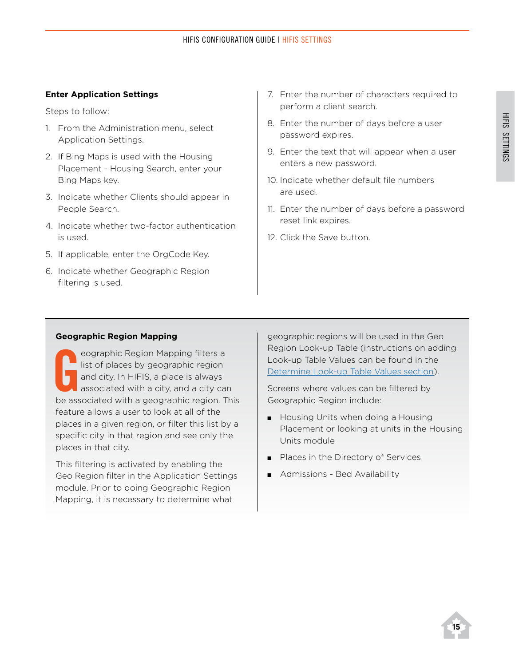#### **Enter Application Settings**

Steps to follow:

- 1. From the Administration menu, select Application Settings.
- 2. If Bing Maps is used with the Housing Placement - Housing Search, enter your Bing Maps key.
- 3. Indicate whether Clients should appear in People Search.
- 4. Indicate whether two-factor authentication is used.
- 5. If applicable, enter the OrgCode Key.
- 6. Indicate whether Geographic Region filtering is used.
- 7. Enter the number of characters required to perform a client search.
- 8. Enter the number of days before a user password expires.
- 9. Enter the text that will appear when a user enters a new password.
- 10. Indicate whether default file numbers are used.
- 11. Enter the number of days before a password reset link expires.
- 12. Click the Save button.

#### **Geographic Region Mapping**

eographic Region Mapping filters a<br>
list of places by geographic region<br>
and city. In HIFIS, a place is always<br>
associated with a city, and a city can<br>
be associated with a geographic region. This eographic Region Mapping filters a list of places by geographic region and city. In HIFIS, a place is always associated with a city, and a city can feature allows a user to look at all of the places in a given region, or filter this list by a specific city in that region and see only the places in that city.

This filtering is activated by enabling the Geo Region filter in the Application Settings module. Prior to doing Geographic Region Mapping, it is necessary to determine what

geographic regions will be used in the Geo Region Look-up Table (instructions on adding Look-up Table Values can be found in the Determine Look-up Table Values section).

Screens where values can be filtered by Geographic Region include:

- Housing Units when doing a Housing Placement or looking at units in the Housing Units module
- Places in the Directory of Services
- Admissions Bed Availability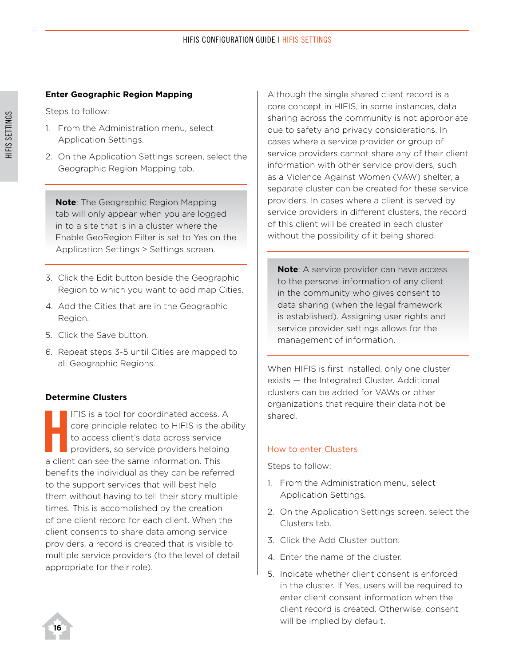#### **Enter Geographic Region Mapping**

Steps to follow:

- 1. From the Administration menu, select Application Settings.
- 2. On the Application Settings screen, select the Geographic Region Mapping tab.

**Note**: The Geographic Region Mapping tab will only appear when you are logged in to a site that is in a cluster where the Enable GeoRegion Filter is set to Yes on the Application Settings > Settings screen.

- 3. Click the Edit button beside the Geographic Region to which you want to add map Cities.
- 4. Add the Cities that are in the Geographic Region.
- 5. Click the Save button.
- 6. Repeat steps 3-5 until Cities are mapped to all Geographic Regions.

#### **Determine Clusters**

**HEIS** is a tool for coordinated access.<br>
core principle related to HIFIS is the a<br>
to access client's data across service<br>
providers, so service providers helpin<br>
a client can see the same information. This IFIS is a tool for coordinated access. A core principle related to HIFIS is the ability to access client's data across service providers, so service providers helping benefits the individual as they can be referred to the support services that will best help them without having to tell their story multiple times. This is accomplished by the creation of one client record for each client. When the client consents to share data among service providers, a record is created that is visible to multiple service providers (to the level of detail appropriate for their role).

Although the single shared client record is a core concept in HIFIS, in some instances, data sharing across the community is not appropriate due to safety and privacy considerations. In cases where a service provider or group of service providers cannot share any of their client information with other service providers, such as a Violence Against Women (VAW) shelter, a separate cluster can be created for these service providers. In cases where a client is served by service providers in different clusters, the record of this client will be created in each cluster without the possibility of it being shared.

**Note**: A service provider can have access to the personal information of any client in the community who gives consent to data sharing (when the legal framework is established). Assigning user rights and service provider settings allows for the management of information.

When HIFIS is first installed, only one cluster exists — the Integrated Cluster. Additional clusters can be added for VAWs or other organizations that require their data not be shared.

#### How to enter Clusters

- 1. From the Administration menu, select Application Settings.
- 2. On the Application Settings screen, select the Clusters tab.
- 3. Click the Add Cluster button.
- 4. Enter the name of the cluster.
- 5. Indicate whether client consent is enforced in the cluster. If Yes, users will be required to enter client consent information when the client record is created. Otherwise, consent will be implied by default.

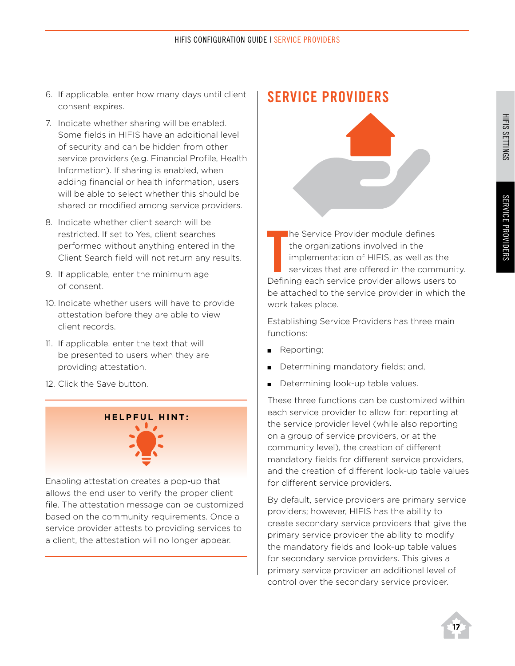- 6. If applicable, enter how many days until client consent expires.
- 7. Indicate whether sharing will be enabled. Some fields in HIFIS have an additional level of security and can be hidden from other service providers (e.g. Financial Profile, Health Information). If sharing is enabled, when adding financial or health information, users will be able to select whether this should be shared or modified among service providers.
- 8. Indicate whether client search will be restricted. If set to Yes, client searches performed without anything entered in the Client Search field will not return any results.
- 9. If applicable, enter the minimum age of consent.
- 10. Indicate whether users will have to provide attestation before they are able to view client records.
- 11. If applicable, enter the text that will be presented to users when they are providing attestation.
- 12. Click the Save button.

#### **H e l pfu l H int :**

Enabling attestation creates a pop-up that allows the end user to verify the proper client file. The attestation message can be customized based on the community requirements. Once a service provider attests to providing services to a client, the attestation will no longer appear.

## **Service Providers**



The Service Provider module defines<br>
the organizations involved in the<br>
implementation of HIFIS, as well as the<br>
services that are offered in the communit<br>
Defining each service provider allows users to he Service Provider module defines the organizations involved in the implementation of HIFIS, as well as the services that are offered in the community. be attached to the service provider in which the work takes place.

Establishing Service Providers has three main functions:

- **Reporting**;
- Determining mandatory fields; and,
- Determining look-up table values.

These three functions can be customized within each service provider to allow for: reporting at the service provider level (while also reporting on a group of service providers, or at the community level), the creation of different mandatory fields for different service providers, and the creation of different look-up table values for different service providers.

By default, service providers are primary service providers; however, HIFIS has the ability to create secondary service providers that give the primary service provider the ability to modify the mandatory fields and look-up table values for secondary service providers. This gives a primary service provider an additional level of control over the secondary service provider.

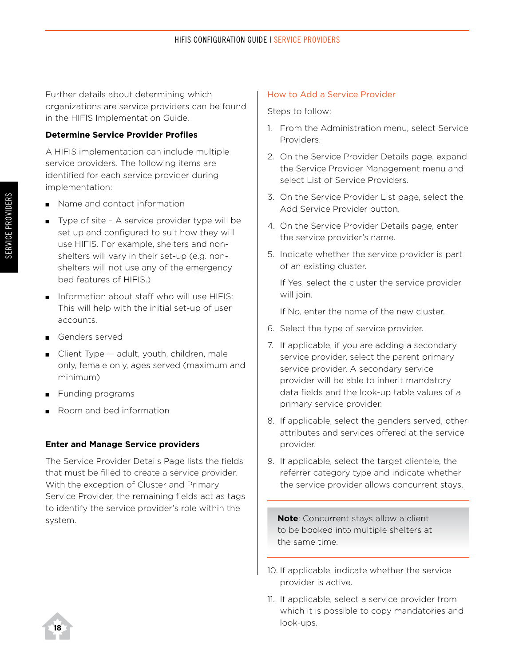Further details about determining which organizations are service providers can be found in the HIFIS Implementation Guide.

#### **Determine Service Provider Profiles**

A HIFIS implementation can include multiple service providers. The following items are identified for each service provider during implementation:

- Name and contact information
- $\blacksquare$  Type of site A service provider type will be set up and configured to suit how they will use HIFIS. For example, shelters and nonshelters will vary in their set-up (e.g. nonshelters will not use any of the emergency bed features of HIFIS.)
- **n** Information about staff who will use HIFIS: This will help with the initial set-up of user accounts.
- Genders served
- $\Box$  Client Type adult, youth, children, male only, female only, ages served (maximum and minimum)
- Funding programs
- Room and bed information

#### **Enter and Manage Service providers**

The Service Provider Details Page lists the fields that must be filled to create a service provider. With the exception of Cluster and Primary Service Provider, the remaining fields act as tags to identify the service provider's role within the system.

#### How to Add a Service Provider

Steps to follow:

- 1. From the Administration menu, select Service Providers.
- 2. On the Service Provider Details page, expand the Service Provider Management menu and select List of Service Providers.
- 3. On the Service Provider List page, select the Add Service Provider button.
- 4. On the Service Provider Details page, enter the service provider's name.
- 5. Indicate whether the service provider is part of an existing cluster.

If Yes, select the cluster the service provider will join.

If No, enter the name of the new cluster.

- 6. Select the type of service provider.
- 7. If applicable, if you are adding a secondary service provider, select the parent primary service provider. A secondary service provider will be able to inherit mandatory data fields and the look-up table values of a primary service provider.
- 8. If applicable, select the genders served, other attributes and services offered at the service provider.
- 9. If applicable, select the target clientele, the referrer category type and indicate whether the service provider allows concurrent stays.

**Note**: Concurrent stays allow a client to be booked into multiple shelters at the same time.

- 10. If applicable, indicate whether the service provider is active.
- 11. If applicable, select a service provider from which it is possible to copy mandatories and look-ups.

**18**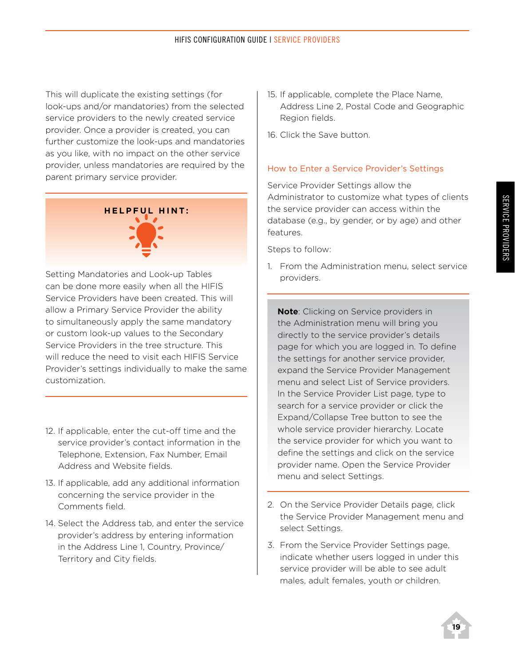This will duplicate the existing settings (for look-ups and/or mandatories) from the selected service providers to the newly created service provider. Once a provider is created, you can further customize the look-ups and mandatories as you like, with no impact on the other service provider, unless mandatories are required by the parent primary service provider.

# **H e l pfu l H int :**

Setting Mandatories and Look-up Tables can be done more easily when all the HIFIS Service Providers have been created. This will allow a Primary Service Provider the ability to simultaneously apply the same mandatory or custom look-up values to the Secondary Service Providers in the tree structure. This will reduce the need to visit each HIFIS Service Provider's settings individually to make the same customization.

- 12. If applicable, enter the cut-off time and the service provider's contact information in the Telephone, Extension, Fax Number, Email Address and Website fields.
- 13. If applicable, add any additional information concerning the service provider in the Comments field.
- 14. Select the Address tab, and enter the service provider's address by entering information in the Address Line 1, Country, Province/ Territory and City fields.
- 15. If applicable, complete the Place Name, Address Line 2, Postal Code and Geographic Region fields.
- 16. Click the Save button.

#### How to Enter a Service Provider's Settings

Service Provider Settings allow the Administrator to customize what types of clients the service provider can access within the database (e.g., by gender, or by age) and other features.

Steps to follow:

1. From the Administration menu, select service providers.

**Note**: Clicking on Service providers in the Administration menu will bring you directly to the service provider's details page for which you are logged in. To define the settings for another service provider, expand the Service Provider Management menu and select List of Service providers. In the Service Provider List page, type to search for a service provider or click the Expand/Collapse Tree button to see the whole service provider hierarchy. Locate the service provider for which you want to define the settings and click on the service provider name. Open the Service Provider menu and select Settings.

- 2. On the Service Provider Details page, click the Service Provider Management menu and select Settings.
- 3. From the Service Provider Settings page, indicate whether users logged in under this service provider will be able to see adult males, adult females, youth or children.

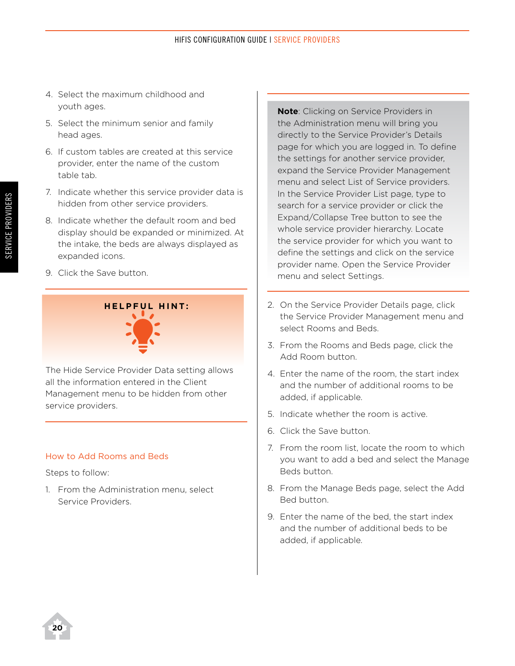- 4. Select the maximum childhood and youth ages.
- 5. Select the minimum senior and family head ages.
- 6. If custom tables are created at this service provider, enter the name of the custom table tab.
- 7. Indicate whether this service provider data is hidden from other service providers.
- 8. Indicate whether the default room and bed display should be expanded or minimized. At the intake, the beds are always displayed as expanded icons.
- 9. Click the Save button.

# **H e l pfu l H int :**

The Hide Service Provider Data setting allows all the information entered in the Client Management menu to be hidden from other service providers.

#### How to Add Rooms and Beds

Steps to follow:

1. From the Administration menu, select Service Providers.

**Note**: Clicking on Service Providers in the Administration menu will bring you directly to the Service Provider's Details page for which you are logged in. To define the settings for another service provider, expand the Service Provider Management menu and select List of Service providers. In the Service Provider List page, type to search for a service provider or click the Expand/Collapse Tree button to see the whole service provider hierarchy. Locate the service provider for which you want to define the settings and click on the service provider name. Open the Service Provider menu and select Settings.

- 2. On the Service Provider Details page, click the Service Provider Management menu and select Rooms and Beds.
- 3. From the Rooms and Beds page, click the Add Room button.
- 4. Enter the name of the room, the start index and the number of additional rooms to be added, if applicable.
- 5. Indicate whether the room is active.
- 6. Click the Save button.
- 7. From the room list, locate the room to which you want to add a bed and select the Manage Beds button.
- 8. From the Manage Beds page, select the Add Bed button.
- 9. Enter the name of the bed, the start index and the number of additional beds to be added, if applicable.

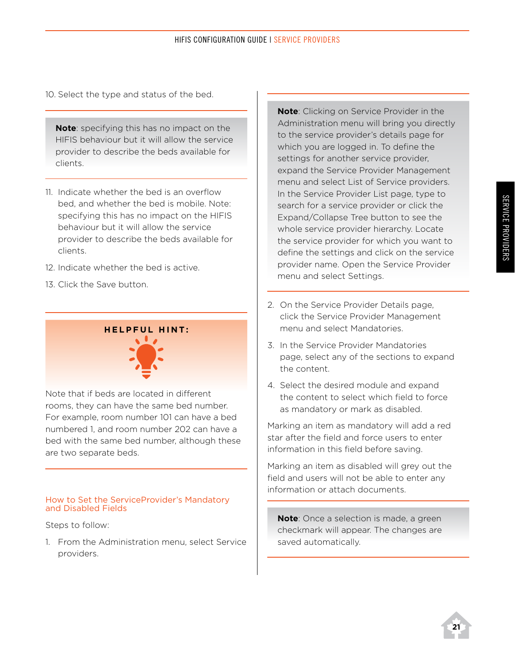10. Select the type and status of the bed.

**Note**: specifying this has no impact on the HIFIS behaviour but it will allow the service provider to describe the beds available for clients.

- 11. Indicate whether the bed is an overflow bed, and whether the bed is mobile. Note: specifying this has no impact on the HIFIS behaviour but it will allow the service provider to describe the beds available for clients.
- 12. Indicate whether the bed is active.
- 13. Click the Save button.



Note that if beds are located in different rooms, they can have the same bed number. For example, room number 101 can have a bed numbered 1, and room number 202 can have a bed with the same bed number, although these are two separate beds.

#### How to Set the ServiceProvider's Mandatory and Disabled Fields

Steps to follow:

1. From the Administration menu, select Service providers.

**Note**: Clicking on Service Provider in the Administration menu will bring you directly to the service provider's details page for which you are logged in. To define the settings for another service provider, expand the Service Provider Management menu and select List of Service providers. In the Service Provider List page, type to search for a service provider or click the Expand/Collapse Tree button to see the whole service provider hierarchy. Locate the service provider for which you want to define the settings and click on the service provider name. Open the Service Provider menu and select Settings.

- 2. On the Service Provider Details page, click the Service Provider Management menu and select Mandatories.
- 3. In the Service Provider Mandatories page, select any of the sections to expand the content.
- 4. Select the desired module and expand the content to select which field to force as mandatory or mark as disabled.

Marking an item as mandatory will add a red star after the field and force users to enter information in this field before saving.

Marking an item as disabled will grey out the field and users will not be able to enter any information or attach documents.

**Note**: Once a selection is made, a green checkmark will appear. The changes are saved automatically.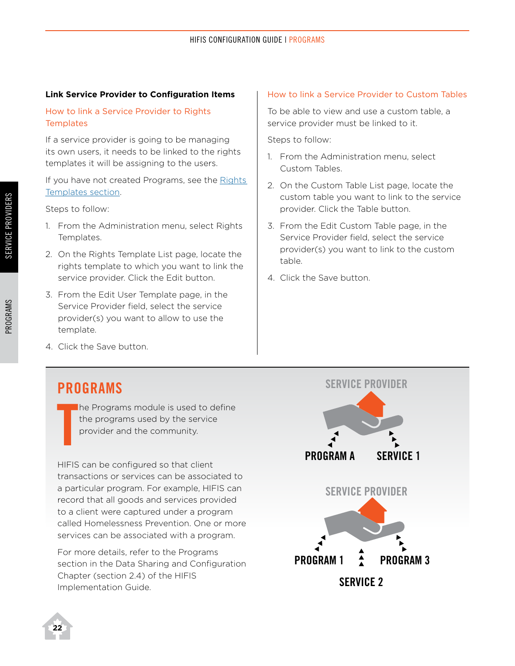#### **Link Service Provider to Configuration Items**

#### How to link a Service Provider to Rights **Templates**

If a service provider is going to be managing its own users, it needs to be linked to the rights templates it will be assigning to the users.

If you have not created Programs, see the Rights [Templates section](#page-28-0).

Steps to follow:

- 1. From the Administration menu, select Rights Templates.
- 2. On the Rights Template List page, locate the rights template to which you want to link the service provider. Click the Edit button.
- 3. From the Edit User Template page, in the Service Provider field, select the service provider(s) you want to allow to use the template.

#### How to link a Service Provider to Custom Tables

To be able to view and use a custom table, a service provider must be linked to it.

Steps to follow:

- 1. From the Administration menu, select Custom Tables.
- 2. On the Custom Table List page, locate the custom table you want to link to the service provider. Click the Table button.
- 3. From the Edit Custom Table page, in the Service Provider field, select the service provider(s) you want to link to the custom table.
- 4. Click the Save button.

4. Click the Save button.

#### **Programs**

**T** he Programs module is used to define the programs used by the service provider and the community.

HIFIS can be configured so that client transactions or services can be associated to a particular program. For example, HIFIS can record that all goods and services provided to a client were captured under a program called Homelessness Prevention. One or more services can be associated with a program.

For more details, refer to the Programs section in the Data Sharing and Configuration Chapter (section 2.4) of the HIFIS Implementation Guide.



**22**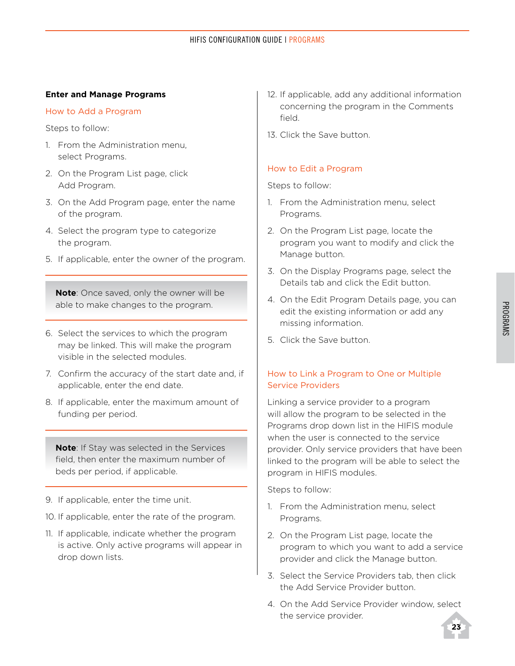#### **Enter and Manage Programs**

#### How to Add a Program

Steps to follow:

- 1. From the Administration menu, select Programs.
- 2. On the Program List page, click Add Program.
- 3. On the Add Program page, enter the name of the program.
- 4. Select the program type to categorize the program.
- 5. If applicable, enter the owner of the program.

**Note**: Once saved, only the owner will be able to make changes to the program.

- 6. Select the services to which the program may be linked. This will make the program visible in the selected modules.
- 7. Confirm the accuracy of the start date and, if applicable, enter the end date.
- 8. If applicable, enter the maximum amount of funding per period.

**Note**: If Stay was selected in the Services field, then enter the maximum number of beds per period, if applicable.

- 9. If applicable, enter the time unit.
- 10. If applicable, enter the rate of the program.
- 11. If applicable, indicate whether the program is active. Only active programs will appear in drop down lists.
- 12. If applicable, add any additional information concerning the program in the Comments field.
- 13. Click the Save button.

#### How to Edit a Program

Steps to follow:

- 1. From the Administration menu, select Programs.
- 2. On the Program List page, locate the program you want to modify and click the Manage button.
- 3. On the Display Programs page, select the Details tab and click the Edit button.
- 4. On the Edit Program Details page, you can edit the existing information or add any missing information.
- 5. Click the Save button.

#### How to Link a Program to One or Multiple Service Providers

Linking a service provider to a program will allow the program to be selected in the Programs drop down list in the HIFIS module when the user is connected to the service provider. Only service providers that have been linked to the program will be able to select the program in HIFIS modules.

- 1. From the Administration menu, select Programs.
- 2. On the Program List page, locate the program to which you want to add a service provider and click the Manage button.
- 3. Select the Service Providers tab, then click the Add Service Provider button.
- 4. On the Add Service Provider window, select the service provider.

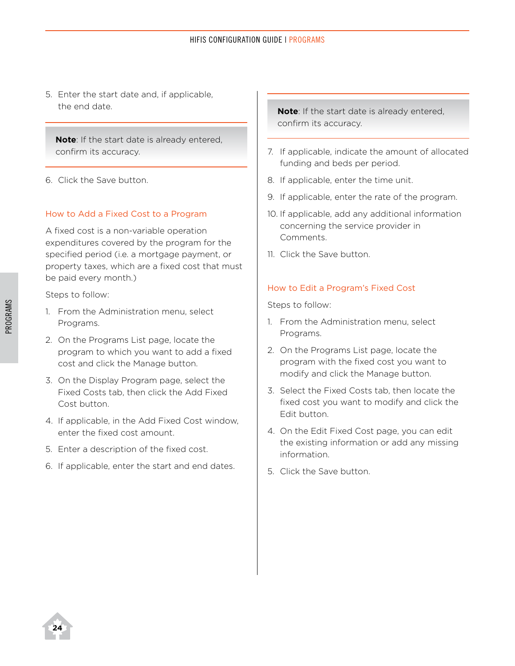5. Enter the start date and, if applicable, the end date.

**Note**: If the start date is already entered, confirm its accuracy.

6. Click the Save button.

#### How to Add a Fixed Cost to a Program

A fixed cost is a non-variable operation expenditures covered by the program for the specified period (i.e. a mortgage payment, or property taxes, which are a fixed cost that must be paid every month.)

Steps to follow:

- 1. From the Administration menu, select Programs.
- 2. On the Programs List page, locate the program to which you want to add a fixed cost and click the Manage button.
- 3. On the Display Program page, select the Fixed Costs tab, then click the Add Fixed Cost button.
- 4. If applicable, in the Add Fixed Cost window, enter the fixed cost amount.
- 5. Enter a description of the fixed cost.
- 6. If applicable, enter the start and end dates.

**Note**: If the start date is already entered, confirm its accuracy.

- 7. If applicable, indicate the amount of allocated funding and beds per period.
- 8. If applicable, enter the time unit.
- 9. If applicable, enter the rate of the program.
- 10. If applicable, add any additional information concerning the service provider in Comments.
- 11. Click the Save button.

#### How to Edit a Program's Fixed Cost

Steps to follow:

- 1. From the Administration menu, select Programs.
- 2. On the Programs List page, locate the program with the fixed cost you want to modify and click the Manage button.
- 3. Select the Fixed Costs tab, then locate the fixed cost you want to modify and click the Edit button.
- 4. On the Edit Fixed Cost page, you can edit the existing information or add any missing information.
- 5. Click the Save button.

**24**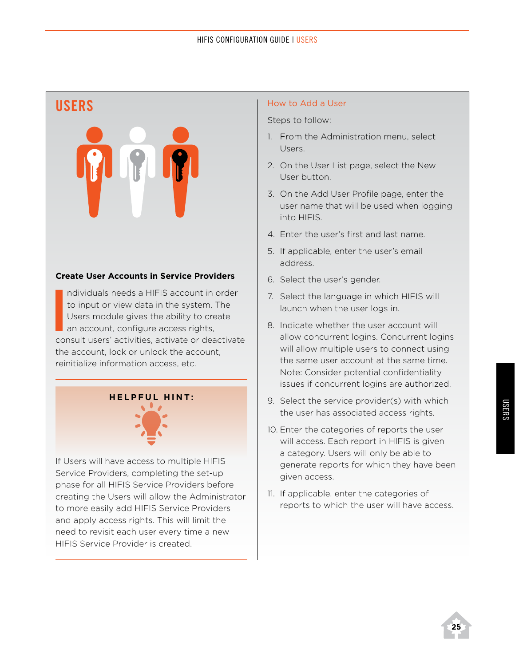#### HIFIS CONFIGURATION GUIDE | USERS

#### **Users**



#### **Create User Accounts in Service Providers**

**I**<br>I<sub>CO</sub> ndividuals needs a HIFIS account in order to input or view data in the system. The Users module gives the ability to create an account, configure access rights, consult users' activities, activate or deactivate the account, lock or unlock the account, reinitialize information access, etc.

## **H e l pfu l H int :**



If Users will have access to multiple HIFIS Service Providers, completing the set-up phase for all HIFIS Service Providers before creating the Users will allow the Administrator to more easily add HIFIS Service Providers and apply access rights. This will limit the need to revisit each user every time a new HIFIS Service Provider is created.

#### How to Add a User

- 1. From the Administration menu, select Users.
- 2. On the User List page, select the New User button.
- 3. On the Add User Profile page, enter the user name that will be used when logging into HIFIS.
- 4. Enter the user's first and last name.
- 5. If applicable, enter the user's email address.
- 6. Select the user's gender.
- 7. Select the language in which HIFIS will launch when the user logs in.
- 8. Indicate whether the user account will allow concurrent logins. Concurrent logins will allow multiple users to connect using the same user account at the same time. Note: Consider potential confidentiality issues if concurrent logins are authorized.
- 9. Select the service provider(s) with which the user has associated access rights.
- 10. Enter the categories of reports the user will access. Each report in HIFIS is given a category. Users will only be able to generate reports for which they have been given access.
- 11. If applicable, enter the categories of reports to which the user will have access.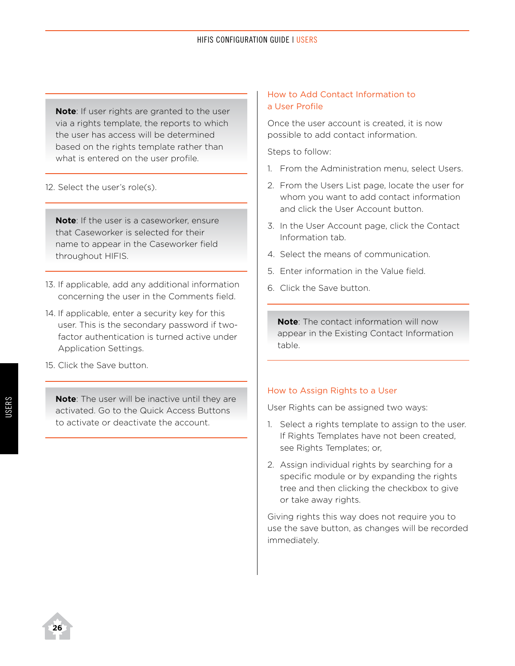**Note**: If user rights are granted to the user via a rights template, the reports to which the user has access will be determined based on the rights template rather than what is entered on the user profile.

12. Select the user's role(s).

**Note**: If the user is a caseworker, ensure that Caseworker is selected for their name to appear in the Caseworker field throughout HIFIS.

- 13. If applicable, add any additional information concerning the user in the Comments field.
- 14. If applicable, enter a security key for this user. This is the secondary password if twofactor authentication is turned active under Application Settings.
- 15. Click the Save button.

**Note**: The user will be inactive until they are activated. Go to the Quick Access Buttons to activate or deactivate the account.

#### How to Add Contact Information to a User Profile

Once the user account is created, it is now possible to add contact information.

Steps to follow:

- 1. From the Administration menu, select Users.
- 2. From the Users List page, locate the user for whom you want to add contact information and click the User Account button.
- 3. In the User Account page, click the Contact Information tab.
- 4. Select the means of communication.
- 5. Enter information in the Value field.
- 6. Click the Save button.

**Note**: The contact information will now appear in the Existing Contact Information table.

#### <span id="page-27-0"></span>How to Assign Rights to a User

User Rights can be assigned two ways:

- 1. Select a rights template to assign to the user. If Rights Templates have not been created, see [Rights Templates;](#page-28-0) or,
- 2. Assign individual rights by searching for a specific module or by expanding the rights tree and then clicking the checkbox to give or take away rights.

Giving rights this way does not require you to use the save button, as changes will be recorded immediately.

**26**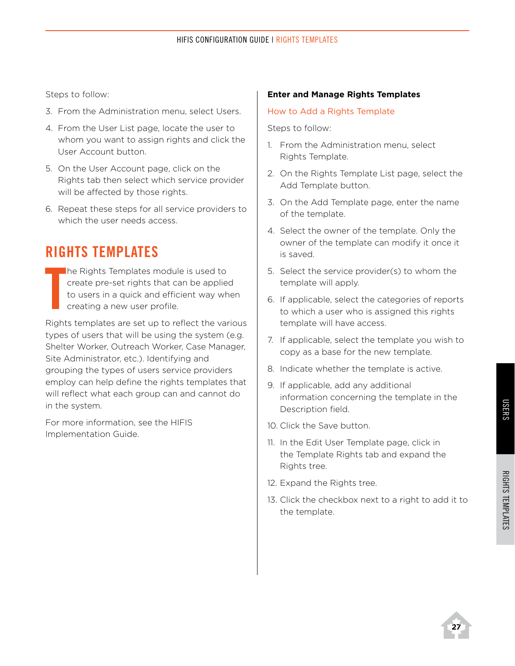Steps to follow:

- 3. From the Administration menu, select Users.
- 4. From the User List page, locate the user to whom you want to assign rights and click the User Account button.
- 5. On the User Account page, click on the Rights tab then select which service provider will be affected by those rights.
- 6. Repeat these steps for all service providers to which the user needs access.

## <span id="page-28-0"></span>**Rights Templates**

**T** he Rights Templates module is used to create pre-set rights that can be applied to users in a quick and efficient way when creating a new user profile.

Rights templates are set up to reflect the various types of users that will be using the system (e.g. Shelter Worker, Outreach Worker, Case Manager, Site Administrator, etc.). Identifying and grouping the types of users service providers employ can help define the rights templates that will reflect what each group can and cannot do in the system.

For more information, see the HIFIS Implementation Guide.

#### **Enter and Manage Rights Templates**

#### How to Add a Rights Template

- 1. From the Administration menu, select Rights Template.
- 2. On the Rights Template List page, select the Add Template button.
- 3. On the Add Template page, enter the name of the template.
- 4. Select the owner of the template. Only the owner of the template can modify it once it is saved.
- 5. Select the service provider(s) to whom the template will apply.
- 6. If applicable, select the categories of reports to which a user who is assigned this rights template will have access.
- 7. If applicable, select the template you wish to copy as a base for the new template.
- 8. Indicate whether the template is active.
- 9. If applicable, add any additional information concerning the template in the Description field.
- 10. Click the Save button.
- 11. In the Edit User Template page, click in the Template Rights tab and expand the Rights tree.
- 12. Expand the Rights tree.
- 13. Click the checkbox next to a right to add it to the template.

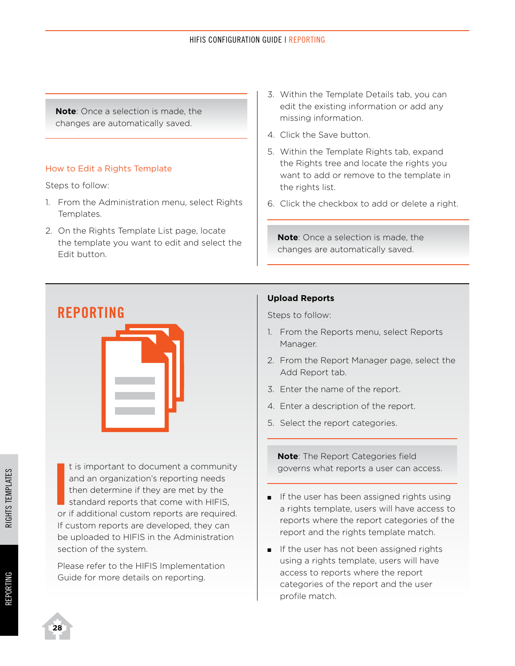**Note**: Once a selection is made, the changes are automatically saved.

#### How to Edit a Rights Template

Steps to follow:

- 1. From the Administration menu, select Rights Templates.
- 2. On the Rights Template List page, locate the template you want to edit and select the Edit button.
- 3. Within the Template Details tab, you can edit the existing information or add any missing information.
- 4. Click the Save button.
- 5. Within the Template Rights tab, expand the Rights tree and locate the rights you want to add or remove to the template in the rights list.
- 6. Click the checkbox to add or delete a right.

**Note**: Once a selection is made, the changes are automatically saved.

# **Reporting**



It is important to document a community<br>and an organization's reporting needs<br>then determine if they are met by the<br>standard reports that come with HIFIS,<br>or if additional custom reports are required. t is important to document a community and an organization's reporting needs then determine if they are met by the standard reports that come with HIFIS, If custom reports are developed, they can be uploaded to HIFIS in the Administration section of the system.

Please refer to the HIFIS Implementation Guide for more details on reporting.

#### **Upload Reports**

Steps to follow:

- 1. From the Reports menu, select Reports Manager.
- 2. From the Report Manager page, select the Add Report tab.
- 3. Enter the name of the report.
- 4. Enter a description of the report.
- 5. Select the report categories.

**Note**: The Report Categories field governs what reports a user can access.

- **n** If the user has been assigned rights using a rights template, users will have access to reports where the report categories of the report and the rights template match.
- $\blacksquare$  If the user has not been assigned rights using a rights template, users will have access to reports where the report categories of the report and the user profile match.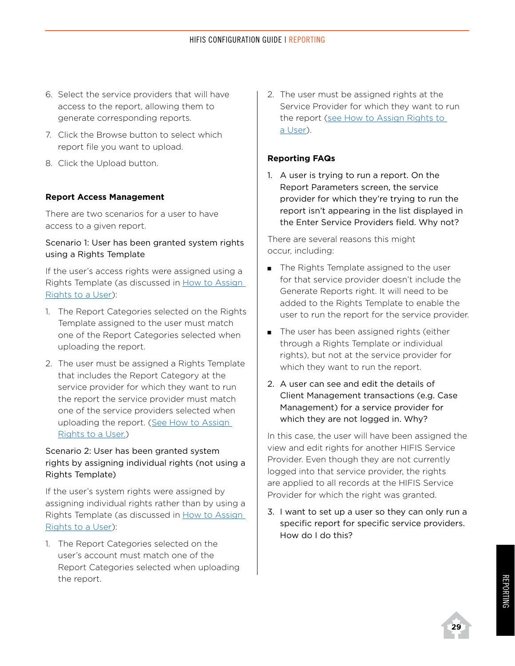- 6. Select the service providers that will have access to the report, allowing them to generate corresponding reports.
- 7. Click the Browse button to select which report file you want to upload.
- 8. Click the Upload button.

#### **Report Access Management**

There are two scenarios for a user to have access to a given report.

#### Scenario 1: User has been granted system rights using a Rights Template

If the user's access rights were assigned using a Rights Template (as discussed in [How to Assign](#page-27-0)  [Rights to a User\)](#page-27-0):

- 1. The Report Categories selected on the Rights Template assigned to the user must match one of the Report Categories selected when uploading the report.
- 2. The user must be assigned a Rights Template that includes the Report Category at the service provider for which they want to run the report the service provider must match one of the service providers selected when uploading the report. (See How to Assign Rights to a User.)

#### Scenario 2: User has been granted system rights by assigning individual rights (not using a Rights Template)

If the user's system rights were assigned by assigning individual rights rather than by using a Rights Template (as discussed in How to Assign Rights to a User):

1. The Report Categories selected on the user's account must match one of the Report Categories selected when uploading the report.

2. The user must be assigned rights at the Service Provider for which they want to run the report (see How to Assign Rights to a User).

#### **Reporting FAQs**

1. A user is trying to run a report. On the Report Parameters screen, the service provider for which they're trying to run the report isn't appearing in the list displayed in the Enter Service Providers field. Why not?

There are several reasons this might occur, including:

- **n** The Rights Template assigned to the user for that service provider doesn't include the Generate Reports right. It will need to be added to the Rights Template to enable the user to run the report for the service provider.
- The user has been assigned rights (either through a Rights Template or individual rights), but not at the service provider for which they want to run the report.
- 2. A user can see and edit the details of Client Management transactions (e.g. Case Management) for a service provider for which they are not logged in. Why?

In this case, the user will have been assigned the view and edit rights for another HIFIS Service Provider. Even though they are not currently logged into that service provider, the rights are applied to all records at the HIFIS Service Provider for which the right was granted.

3. I want to set up a user so they can only run a specific report for specific service providers. How do I do this?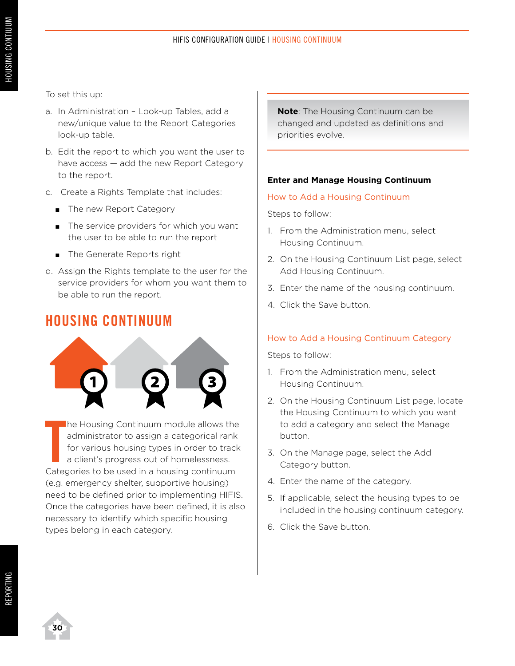To set this up:

- a. In Administration Look-up Tables, add a new/unique value to the Report Categories look-up table.
- b. Edit the report to which you want the user to have access — add the new Report Category to the report.
- c. Create a Rights Template that includes:
	- **n** The new Report Category
	- $\blacksquare$  The service providers for which you want the user to be able to run the report
	- **n** The Generate Reports right
- d. Assign the Rights template to the user for the service providers for whom you want them to be able to run the report.

#### **Housing Continuum**



The Housing Continuum module allows the administrator to assign a categorical rank for various housing types in order to track a client's progress out of homelessness.<br>Categories to be used in a housing continuum he Housing Continuum module allows the administrator to assign a categorical rank for various housing types in order to track a client's progress out of homelessness. (e.g. emergency shelter, supportive housing) need to be defined prior to implementing HIFIS. Once the categories have been defined, it is also necessary to identify which specific housing types belong in each category.

**Note**: The Housing Continuum can be changed and updated as definitions and priorities evolve.

#### **Enter and Manage Housing Continuum**

#### How to Add a Housing Continuum

Steps to follow:

- 1. From the Administration menu, select Housing Continuum.
- 2. On the Housing Continuum List page, select Add Housing Continuum.
- 3. Enter the name of the housing continuum.
- 4. Click the Save button.

#### How to Add a Housing Continuum Category

- 1. From the Administration menu, select Housing Continuum.
- 2. On the Housing Continuum List page, locate the Housing Continuum to which you want to add a category and select the Manage button.
- 3. On the Manage page, select the Add Category button.
- 4. Enter the name of the category.
- 5. If applicable, select the housing types to be included in the housing continuum category.
- 6. Click the Save button.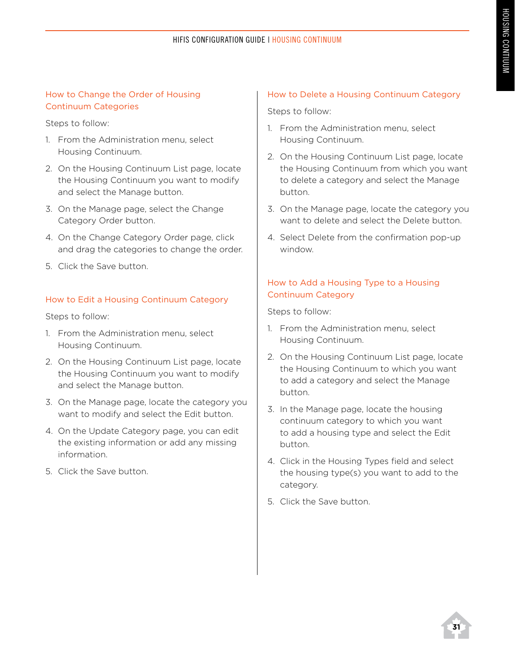#### HIFIS CONFIGURATION GUIDE | HOUSING CONTINUUM

#### How to Change the Order of Housing Continuum Categories

Steps to follow:

- 1. From the Administration menu, select Housing Continuum.
- 2. On the Housing Continuum List page, locate the Housing Continuum you want to modify and select the Manage button.
- 3. On the Manage page, select the Change Category Order button.
- 4. On the Change Category Order page, click and drag the categories to change the order.
- 5. Click the Save button.

#### How to Edit a Housing Continuum Category

Steps to follow:

- 1. From the Administration menu, select Housing Continuum.
- 2. On the Housing Continuum List page, locate the Housing Continuum you want to modify and select the Manage button.
- 3. On the Manage page, locate the category you want to modify and select the Edit button.
- 4. On the Update Category page, you can edit the existing information or add any missing information.
- 5. Click the Save button.

#### How to Delete a Housing Continuum Category

Steps to follow:

- 1. From the Administration menu, select Housing Continuum.
- 2. On the Housing Continuum List page, locate the Housing Continuum from which you want to delete a category and select the Manage button.
- 3. On the Manage page, locate the category you want to delete and select the Delete button.
- 4. Select Delete from the confirmation pop-up window.

#### How to Add a Housing Type to a Housing Continuum Category

- 1. From the Administration menu, select Housing Continuum.
- 2. On the Housing Continuum List page, locate the Housing Continuum to which you want to add a category and select the Manage button.
- 3. In the Manage page, locate the housing continuum category to which you want to add a housing type and select the Edit button.
- 4. Click in the Housing Types field and select the housing type(s) you want to add to the category.
- 5. Click the Save button.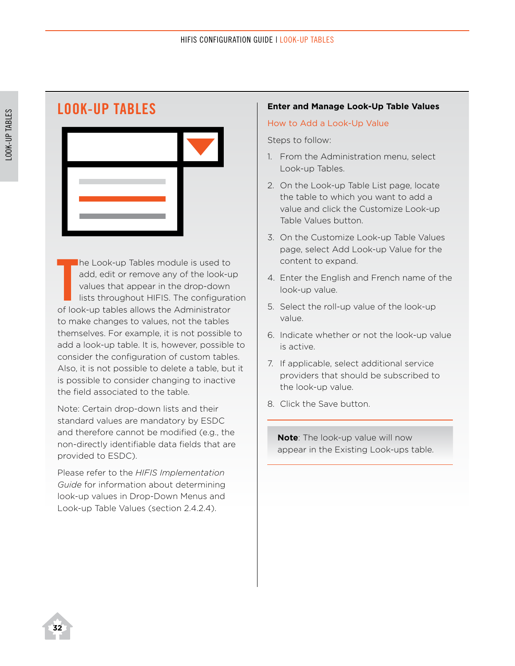# **Look-Up Tables**

The Look-up Tables module is used to add, edit or remove any of the look-up values that appear in the drop-down lists throughout HIFIS. The configurat of look-up tables allows the Administrator he Look-up Tables module is used to add, edit or remove any of the look-up values that appear in the drop-down lists throughout HIFIS. The configuration to make changes to values, not the tables themselves. For example, it is not possible to add a look-up table. It is, however, possible to consider the configuration of custom tables. Also, it is not possible to delete a table, but it is possible to consider changing to inactive the field associated to the table.

Note: Certain drop-down lists and their standard values are mandatory by ESDC and therefore cannot be modified (e.g., the non-directly identifiable data fields that are provided to ESDC).

Please refer to the *HIFIS Implementation Guide* for information about determining look-up values in Drop-Down Menus and Look-up Table Values (section 2.4.2.4).

#### **Enter and Manage Look-Up Table Values**

#### How to Add a Look-Up Value

Steps to follow:

- 1. From the Administration menu, select Look-up Tables.
- 2. On the Look-up Table List page, locate the table to which you want to add a value and click the Customize Look-up Table Values button.
- 3. On the Customize Look-up Table Values page, select Add Look-up Value for the content to expand.
- 4. Enter the English and French name of the look-up value.
- 5. Select the roll-up value of the look-up value.
- 6. Indicate whether or not the look-up value is active.
- 7. If applicable, select additional service providers that should be subscribed to the look-up value.
- 8. Click the Save button.

**Note**: The look-up value will now appear in the Existing Look-ups table.

**32**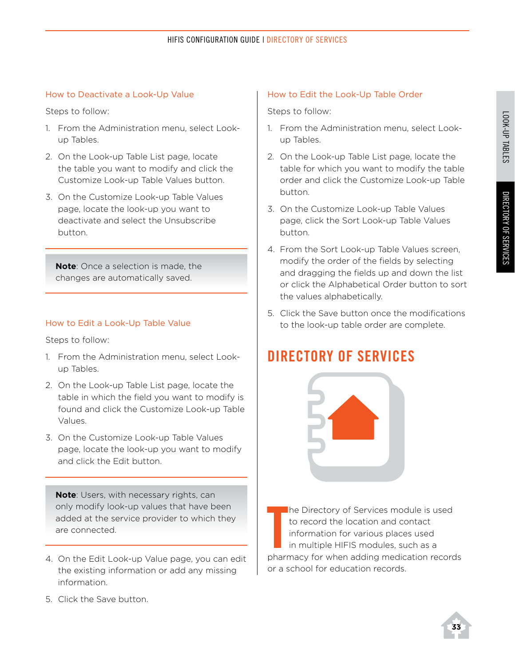#### How to Deactivate a Look-Up Value

Steps to follow:

- 1. From the Administration menu, select Lookup Tables.
- 2. On the Look-up Table List page, locate the table you want to modify and click the Customize Look-up Table Values button.
- 3. On the Customize Look-up Table Values page, locate the look-up you want to deactivate and select the Unsubscribe button.

**Note**: Once a selection is made, the changes are automatically saved.

#### How to Edit a Look-Up Table Value

Steps to follow:

- 1. From the Administration menu, select Lookup Tables.
- 2. On the Look-up Table List page, locate the table in which the field you want to modify is found and click the Customize Look-up Table Values.
- 3. On the Customize Look-up Table Values page, locate the look-up you want to modify and click the Edit button.

**Note**: Users, with necessary rights, can only modify look-up values that have been added at the service provider to which they are connected.

4. On the Edit Look-up Value page, you can edit the existing information or add any missing information.

5. Click the Save button.

#### How to Edit the Look-Up Table Order

Steps to follow:

- 1. From the Administration menu, select Lookup Tables.
- 2. On the Look-up Table List page, locate the table for which you want to modify the table order and click the Customize Look-up Table button.
- 3. On the Customize Look-up Table Values page, click the Sort Look-up Table Values button.
- 4. From the Sort Look-up Table Values screen, modify the order of the fields by selecting and dragging the fields up and down the list or click the Alphabetical Order button to sort the values alphabetically.
- 5. Click the Save button once the modifications to the look-up table order are complete.

## **Directory of Services**



The Directory of Services module is used<br>to record the location and contact<br>information for various places used<br>in multiple HIFIS modules, such as a<br>pharmacy for when adding medication records he Directory of Services module is used to record the location and contact information for various places used in multiple HIFIS modules, such as a or a school for education records.

**33**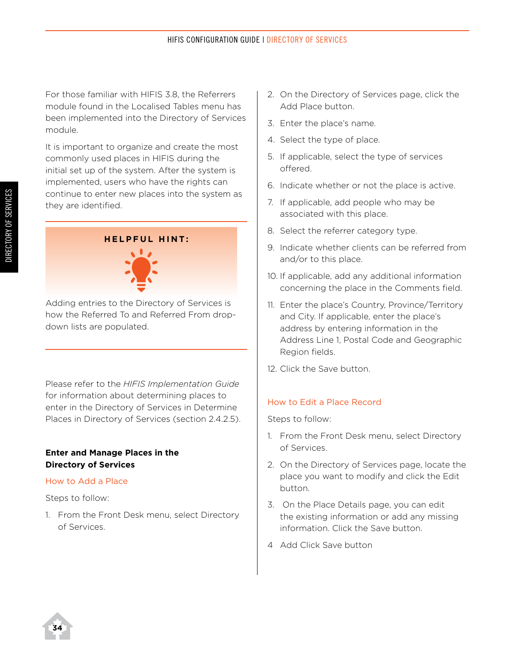For those familiar with HIFIS 3.8, the Referrers module found in the Localised Tables menu has been implemented into the Directory of Services module.

It is important to organize and create the most commonly used places in HIFIS during the initial set up of the system. After the system is implemented, users who have the rights can continue to enter new places into the system as they are identified.



Adding entries to the Directory of Services is how the Referred To and Referred From dropdown lists are populated.

Please refer to the *HIFIS Implementation Guide* for information about determining places to enter in the Directory of Services in Determine Places in Directory of Services (section 2.4.2.5).

#### **Enter and Manage Places in the Directory of Services**

#### How to Add a Place

Steps to follow:

1. From the Front Desk menu, select Directory of Services.

- 2. On the Directory of Services page, click the Add Place button.
- 3. Enter the place's name.
- 4. Select the type of place.
- 5. If applicable, select the type of services offered.
- 6. Indicate whether or not the place is active.
- 7. If applicable, add people who may be associated with this place.
- 8. Select the referrer category type.
- 9. Indicate whether clients can be referred from and/or to this place.
- 10. If applicable, add any additional information concerning the place in the Comments field.
- 11. Enter the place's Country, Province/Territory and City. If applicable, enter the place's address by entering information in the Address Line 1, Postal Code and Geographic Region fields.
- 12. Click the Save button.

#### How to Edit a Place Record

- 1. From the Front Desk menu, select Directory of Services.
- 2. On the Directory of Services page, locate the place you want to modify and click the Edit button.
- 3. On the Place Details page, you can edit the existing information or add any missing information. Click the Save button.
- 4 Add Click Save button